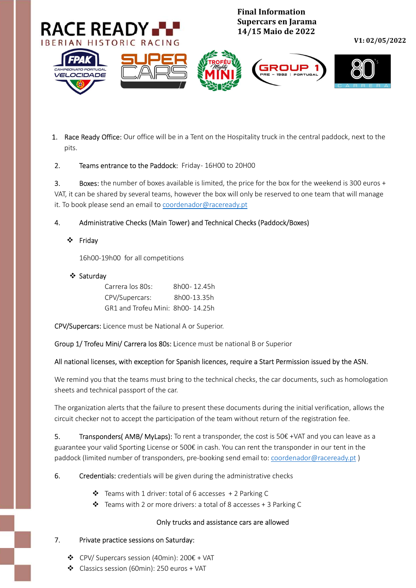

Final Information Supercars en Jarama 14/15 Maio de 2022











V1: 02/05/2022

1. Race Ready Office: Our office will be in a Tent on the Hospitality truck in the central paddock, next to the pits.

## 2. Teams entrance to the Paddock: Friday-16H00 to 20H00

3. Boxes: the number of boxes available is limited, the price for the box for the weekend is 300 euros + VAT, it can be shared by several teams, however the box will only be reserved to one team that will manage it. To book please send an email to coordenador@raceready.pt

4. Administrative Checks (Main Tower) and Technical Checks (Paddock/Boxes)

## Friday

16h00-19h00 for all competitions

#### ❖ Saturday

| Carrera los 80s:                 | 8h00-12.45h |
|----------------------------------|-------------|
| CPV/Supercars:                   | 8h00-13.35h |
| GR1 and Trofeu Mini: 8h00-14.25h |             |

CPV/Supercars: Licence must be National A or Superior.

Group 1/ Trofeu Mini/ Carrera los 80s: Licence must be national B or Superior

#### All national licenses, with exception for Spanish licences, require a Start Permission issued by the ASN.

We remind you that the teams must bring to the technical checks, the car documents, such as homologation sheets and technical passport of the car.

The organization alerts that the failure to present these documents during the initial verification, allows the circuit checker not to accept the participation of the team without return of the registration fee.

5. Transponders( AMB/ MyLaps): To rent a transponder, the cost is 50€ +VAT and you can leave as a guarantee your valid Sporting License or 500€ in cash. You can rent the transponder in our tent in the paddock (limited number of transponders, pre-booking send email to: coordenador@raceready.pt )

- 6. Credentials: credentials will be given during the administrative checks
	- $\div$  Teams with 1 driver: total of 6 accesses + 2 Parking C
	- $\cdot \cdot$  Teams with 2 or more drivers: a total of 8 accesses + 3 Parking C

#### Only trucks and assistance cars are allowed

# 7. Private practice sessions on Saturday:

- CPV/ Supercars session (40min): 200€ + VAT
- Classics session (60min): 250 euros + VAT